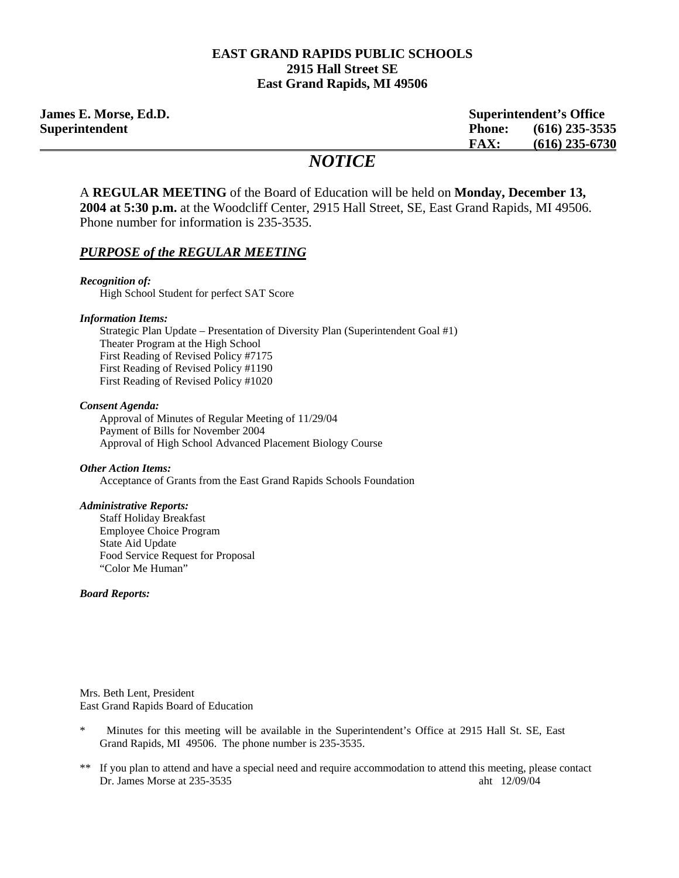#### **EAST GRAND RAPIDS PUBLIC SCHOOLS 2915 Hall Street SE East Grand Rapids, MI 49506**

**James E. Morse, Ed.D. Superintendent's Office Superintendent Phone: (616) 235-3535 FAX: (616) 235-6730**

# *NOTICE*

A **REGULAR MEETING** of the Board of Education will be held on **Monday, December 13, 2004 at 5:30 p.m.** at the Woodcliff Center, 2915 Hall Street, SE, East Grand Rapids, MI 49506. Phone number for information is 235-3535.

#### *PURPOSE of the REGULAR MEETING*

*Recognition of:*  High School Student for perfect SAT Score

*Information Items:* 

Strategic Plan Update – Presentation of Diversity Plan (Superintendent Goal #1) Theater Program at the High School First Reading of Revised Policy #7175 First Reading of Revised Policy #1190 First Reading of Revised Policy #1020

*Consent Agenda:* 

 Approval of Minutes of Regular Meeting of 11/29/04 Payment of Bills for November 2004 Approval of High School Advanced Placement Biology Course

#### *Other Action Items:*

Acceptance of Grants from the East Grand Rapids Schools Foundation

#### *Administrative Reports:*

Staff Holiday Breakfast Employee Choice Program State Aid Update Food Service Request for Proposal "Color Me Human"

#### *Board Reports:*

Mrs. Beth Lent, President East Grand Rapids Board of Education

- \* Minutes for this meeting will be available in the Superintendent's Office at 2915 Hall St. SE, East Grand Rapids, MI 49506. The phone number is 235-3535.
- \*\* If you plan to attend and have a special need and require accommodation to attend this meeting, please contact Dr. James Morse at 235-3535 aht 12/09/04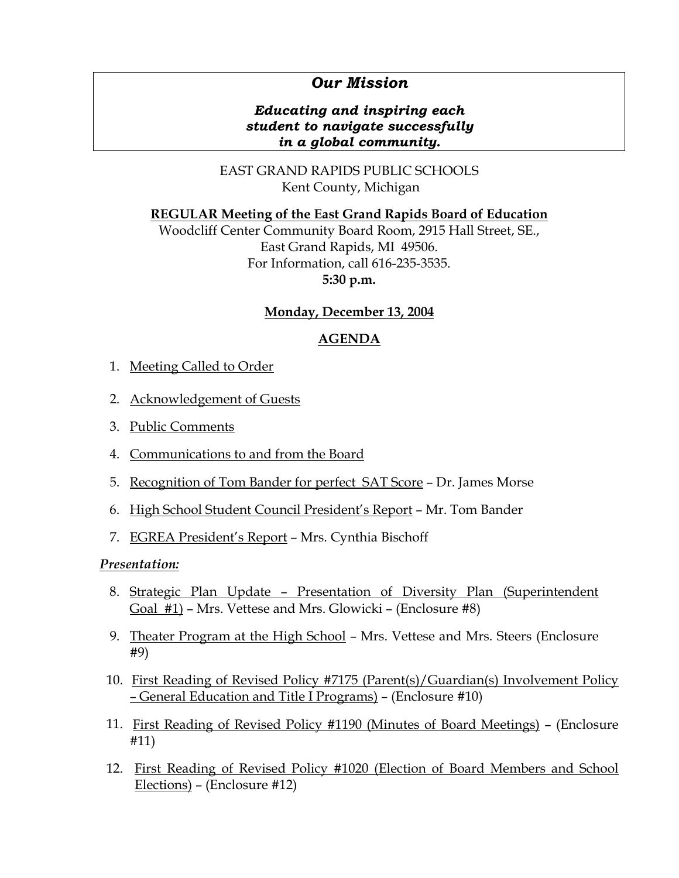# *Our Mission*

## *Educating and inspiring each student to navigate successfully in a global community.*

EAST GRAND RAPIDS PUBLIC SCHOOLS Kent County, Michigan

## **REGULAR Meeting of the East Grand Rapids Board of Education**

Woodcliff Center Community Board Room, 2915 Hall Street, SE., East Grand Rapids, MI 49506. For Information, call 616-235-3535. **5:30 p.m.**

### **Monday, December 13, 2004**

## **AGENDA**

- 1. Meeting Called to Order
- 2. Acknowledgement of Guests
- 3. Public Comments
- 4. Communications to and from the Board
- 5. Recognition of Tom Bander for perfect SAT Score Dr. James Morse
- 6. High School Student Council President's Report Mr. Tom Bander
- 7. EGREA President's Report Mrs. Cynthia Bischoff

### *Presentation:*

- 8. Strategic Plan Update Presentation of Diversity Plan (Superintendent Goal #1) – Mrs. Vettese and Mrs. Glowicki – (Enclosure #8)
- 9. Theater Program at the High School Mrs. Vettese and Mrs. Steers (Enclosure #9)
- 10. First Reading of Revised Policy #7175 (Parent(s)/Guardian(s) Involvement Policy – General Education and Title I Programs) – (Enclosure #10)
- 11. First Reading of Revised Policy #1190 (Minutes of Board Meetings) (Enclosure #11)
- 12. First Reading of Revised Policy #1020 (Election of Board Members and School Elections) – (Enclosure #12)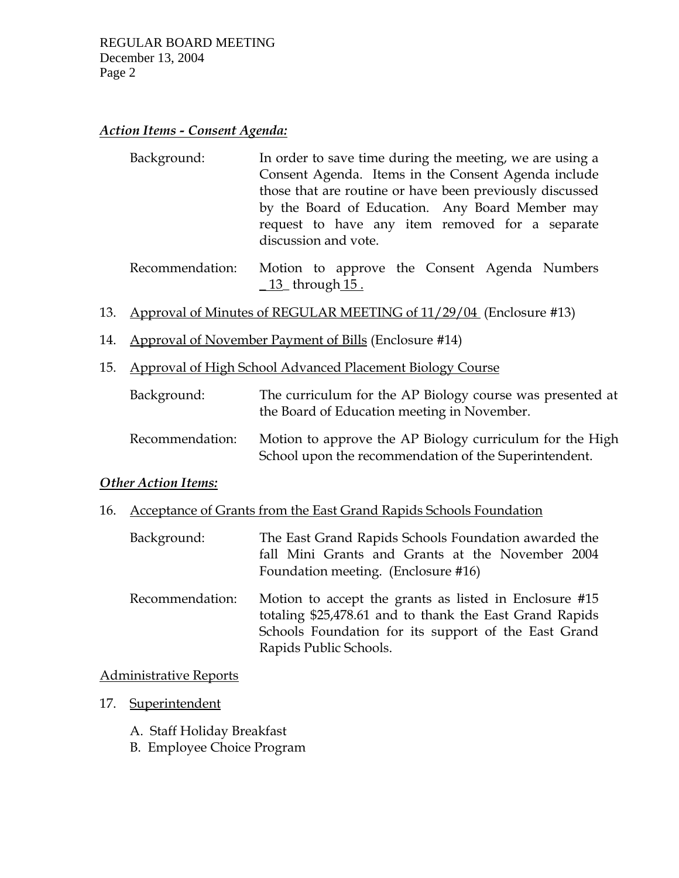# *Action Items - Consent Agenda:*

| Background: | In order to save time during the meeting, we are using a |
|-------------|----------------------------------------------------------|
|             | Consent Agenda. Items in the Consent Agenda include      |
|             | those that are routine or have been previously discussed |
|             | by the Board of Education. Any Board Member may          |
|             | request to have any item removed for a separate          |
|             | discussion and vote.                                     |

 Recommendation: Motion to approve the Consent Agenda Numbers  $\underline{13}$  through  $\underline{15}$ .

- 13. Approval of Minutes of REGULAR MEETING of 11/29/04 (Enclosure #13)
- 14. Approval of November Payment of Bills (Enclosure #14)
- 15. Approval of High School Advanced Placement Biology Course

| Background:     | The curriculum for the AP Biology course was presented at<br>the Board of Education meeting in November.          |
|-----------------|-------------------------------------------------------------------------------------------------------------------|
| Recommendation: | Motion to approve the AP Biology curriculum for the High<br>School upon the recommendation of the Superintendent. |

### *Other Action Items:*

- 16. Acceptance of Grants from the East Grand Rapids Schools Foundation
	- Background: The East Grand Rapids Schools Foundation awarded the fall Mini Grants and Grants at the November 2004 Foundation meeting. (Enclosure #16)
	- Recommendation: Motion to accept the grants as listed in Enclosure #15 totaling \$25,478.61 and to thank the East Grand Rapids Schools Foundation for its support of the East Grand Rapids Public Schools.

### Administrative Reports

- 17. Superintendent
	- A. Staff Holiday Breakfast
	- B. Employee Choice Program